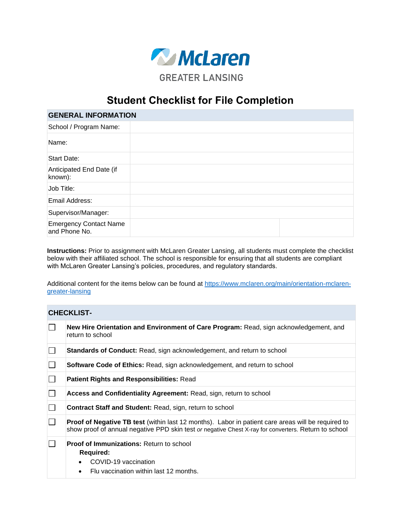

## **Student Checklist for File Completion**

| <b>GENERAL INFORMATION</b>                     |  |  |
|------------------------------------------------|--|--|
| School / Program Name:                         |  |  |
| Name:                                          |  |  |
| <b>Start Date:</b>                             |  |  |
| Anticipated End Date (if<br>known):            |  |  |
| Job Title:                                     |  |  |
| Email Address:                                 |  |  |
| Supervisor/Manager:                            |  |  |
| <b>Emergency Contact Name</b><br>and Phone No. |  |  |

**Instructions:** Prior to assignment with McLaren Greater Lansing, all students must complete the checklist below with their affiliated school. The school is responsible for ensuring that all students are compliant with McLaren Greater Lansing's policies, procedures, and regulatory standards.

Additional content for the items below can be found at [https://www.mclaren.org/main/orientation-mclaren](https://www.mclaren.org/main/orientation-mclaren-greater-lansing)[greater-lansing](https://www.mclaren.org/main/orientation-mclaren-greater-lansing)

## **CHECKLIST-**

|   | New Hire Orientation and Environment of Care Program: Read, sign acknowledgement, and<br>return to school                                                                                                         |
|---|-------------------------------------------------------------------------------------------------------------------------------------------------------------------------------------------------------------------|
| L | <b>Standards of Conduct:</b> Read, sign acknowledgement, and return to school                                                                                                                                     |
|   | <b>Software Code of Ethics: Read, sign acknowledgement, and return to school</b>                                                                                                                                  |
|   | <b>Patient Rights and Responsibilities: Read</b>                                                                                                                                                                  |
| L | Access and Confidentiality Agreement: Read, sign, return to school                                                                                                                                                |
|   | <b>Contract Staff and Student: Read, sign, return to school</b>                                                                                                                                                   |
|   | <b>Proof of Negative TB test</b> (within last 12 months). Labor in patient care areas will be required to<br>show proof of annual negative PPD skin test or negative Chest X-ray for converters. Return to school |
|   | <b>Proof of Immunizations: Return to school</b><br><b>Required:</b><br>COVID-19 vaccination<br>Flu vaccination within last 12 months.<br>$\bullet$                                                                |